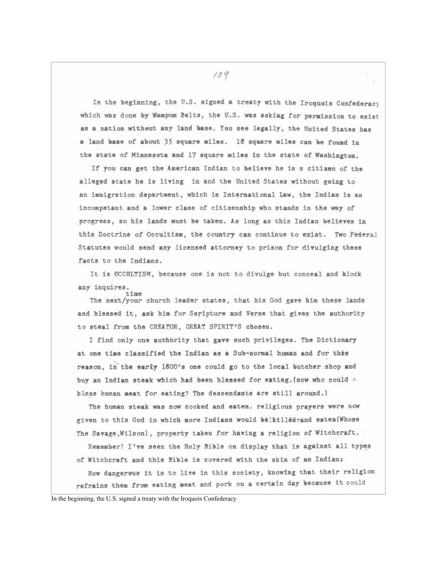In the beginning, the U.S. signed a treaty with the Iroquois Confederacy which was done by Wampum Belts, the U.S. was asking for permission to exist as a nation without any land base. You see legally, the United States has a land base of about 35 square miles. 18 square miles can be found in the state of Minnesota and 17 square miles in the state of Washington.

If you can get the American Indian to believe he is s citisen of the alleged state he is living in and the United States without going to an immigration department, which is International Law, the Indian is an incompetant and a lower class of citizenship who stands in the way of progress, so his lands must be taken. As long as this Indian believes in this Doctrine of Occultism, the country can continue to exist. Two Federal Statutes would send any licensed attorney to prison for divulging these facts to the Indians.

It is OCCULTISM, because one is not to divulge but conceal and block any inquires.  $-1$ me

The next/your church leader states, that his God gave him these lands and blessed it, ask him for Seripture and Verse that gives the authority to steal from the CREATOR, GREAT SPIRIT'S chosen.

I find only one authbrity that gave such privileges. The Dictionary at one time classified the Indian as a Sub-normal human and for this reason, in the early 1800's one could go to the local butcher shop and buy an Indian steak which had been blessed for eating. (now who could 3 bless human meat for eating? The descendants are still around.)

The human steak was now cooked and eaten. religious prayers were now given to this God in which more Indians would belkilledrand eaten (Whose The Savage, Wilson), property taken for having a religion of Witchcraft.

Remember! I've seen the Holy Bible on display that is against all types of Witchcraft and this Bible is covered with the skin of an Indians How dangereus it is to live in this society, knowing that their religion refrains them from eating meat and pork on a certain day because it could

In the beginning, the U.S. signed a treaty with the Iroquois Confederacy

109